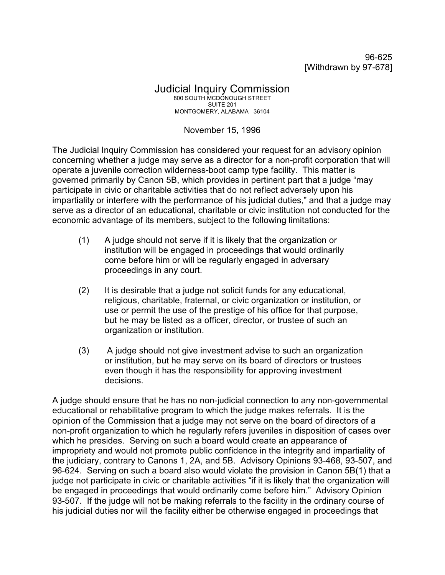96-625 [Withdrawn by 97-678]

## Judicial Inquiry Commission 800 SOUTH MCDONOUGH STREET SUITE 201 MONTGOMERY, ALABAMA 36104

## November 15, 1996

The Judicial Inquiry Commission has considered your request for an advisory opinion concerning whether a judge may serve as a director for a non-profit corporation that will operate a juvenile correction wilderness-boot camp type facility. This matter is governed primarily by Canon 5B, which provides in pertinent part that a judge "may participate in civic or charitable activities that do not reflect adversely upon his impartiality or interfere with the performance of his judicial duties," and that a judge may serve as a director of an educational, charitable or civic institution not conducted for the economic advantage of its members, subject to the following limitations:

- (1) A judge should not serve if it is likely that the organization or institution will be engaged in proceedings that would ordinarily come before him or will be regularly engaged in adversary proceedings in any court.
- (2) It is desirable that a judge not solicit funds for any educational, religious, charitable, fraternal, or civic organization or institution, or use or permit the use of the prestige of his office for that purpose, but he may be listed as a officer, director, or trustee of such an organization or institution.
- (3) A judge should not give investment advise to such an organization or institution, but he may serve on its board of directors or trustees even though it has the responsibility for approving investment decisions.

A judge should ensure that he has no non-judicial connection to any non-governmental educational or rehabilitative program to which the judge makes referrals. It is the opinion of the Commission that a judge may not serve on the board of directors of a non-profit organization to which he regularly refers juveniles in disposition of cases over which he presides. Serving on such a board would create an appearance of impropriety and would not promote public confidence in the integrity and impartiality of the judiciary, contrary to Canons 1, 2A, and 5B. Advisory Opinions 93-468, 93-507, and 96-624. Serving on such a board also would violate the provision in Canon 5B(1) that a judge not participate in civic or charitable activities "if it is likely that the organization will be engaged in proceedings that would ordinarily come before him." Advisory Opinion 93-507. If the judge will not be making referrals to the facility in the ordinary course of his judicial duties nor will the facility either be otherwise engaged in proceedings that